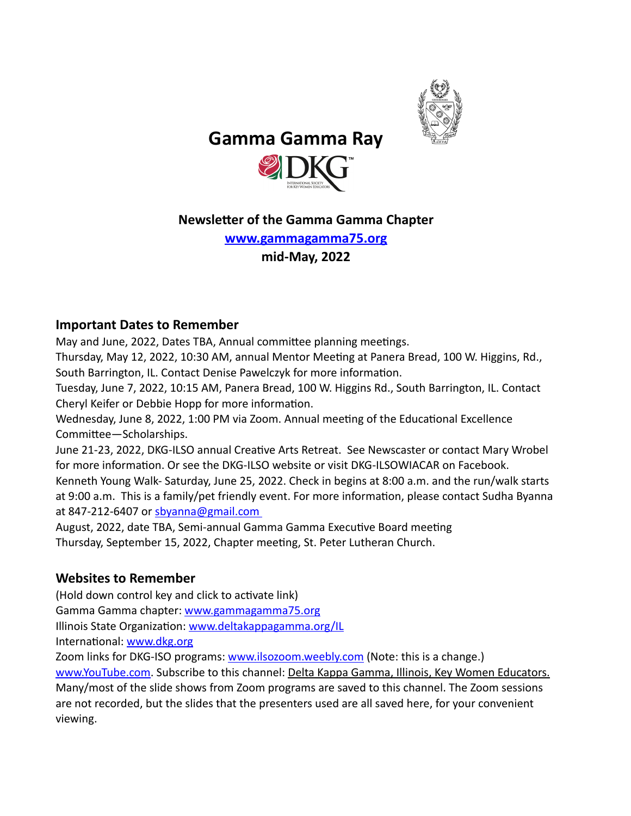

 **Gamma Gamma Ray** 



# **Newsletter of the Gamma Gamma Chapter**

**[www.gammagamma75.org](http://www.gammagamma75.org) mid-May, 2022** 

## **Important Dates to Remember**

May and June, 2022, Dates TBA, Annual committee planning meetings.

Thursday, May 12, 2022, 10:30 AM, annual Mentor Meeting at Panera Bread, 100 W. Higgins, Rd., South Barrington, IL. Contact Denise Pawelczyk for more information.

Tuesday, June 7, 2022, 10:15 AM, Panera Bread, 100 W. Higgins Rd., South Barrington, IL. Contact Cheryl Keifer or Debbie Hopp for more information.

Wednesday, June 8, 2022, 1:00 PM via Zoom. Annual meeting of the Educational Excellence Committee—Scholarships.

June 21-23, 2022, DKG-ILSO annual Creative Arts Retreat. See Newscaster or contact Mary Wrobel for more information. Or see the DKG-ILSO website or visit DKG-ILSOWIACAR on Facebook. Kenneth Young Walk- Saturday, June 25, 2022. Check in begins at 8:00 a.m. and the run/walk starts at 9:00 a.m. This is a family/pet friendly event. For more information, please contact Sudha Byanna at 847-212-6407 or [sbyanna@gmail.com](mailto:sbyanna@gmail.com) 

August, 2022, date TBA, Semi-annual Gamma Gamma Executive Board meeting Thursday, September 15, 2022, Chapter meeting, St. Peter Lutheran Church.

# **Websites to Remember**

(Hold down control key and click to activate link) Gamma Gamma chapter: [www.gammagamma75.org](http://www.gammagamma75.org) Illinois State Organization: [www.deltakappagamma.org/IL](http://www.deltakappagamma.org/IL) International: [www.dkg.org](http://www.dkg.org)

Zoom links for DKG-ISO programs: [www.ilsozoom.weebly.com](http://www.ilsozoom.weebly.com) (Note: this is a change.) [www.YouTube.com](http://www.YouTube.com). Subscribe to this channel: Delta Kappa Gamma, Illinois, Key Women Educators. Many/most of the slide shows from Zoom programs are saved to this channel. The Zoom sessions are not recorded, but the slides that the presenters used are all saved here, for your convenient viewing.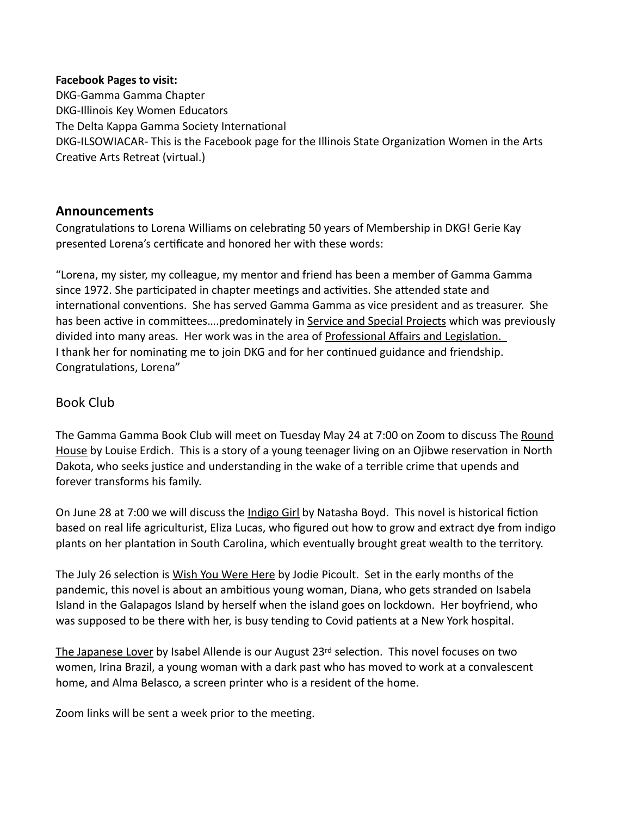#### **Facebook Pages to visit:**

DKG-Gamma Gamma Chapter DKG-Illinois Key Women Educators The Delta Kappa Gamma Society International DKG-ILSOWIACAR- This is the Facebook page for the Illinois State Organization Women in the Arts Creative Arts Retreat (virtual.)

### **Announcements**

Congratulations to Lorena Williams on celebrating 50 years of Membership in DKG! Gerie Kay presented Lorena's certificate and honored her with these words:

"Lorena, my sister, my colleague, my mentor and friend has been a member of Gamma Gamma since 1972. She participated in chapter meetings and activities. She attended state and international conventions. She has served Gamma Gamma as vice president and as treasurer. She has been active in committees....predominately in Service and Special Projects which was previously divided into many areas. Her work was in the area of Professional Affairs and Legislation. I thank her for nominating me to join DKG and for her continued guidance and friendship. Congratulations, Lorena"

### Book Club

The Gamma Gamma Book Club will meet on Tuesday May 24 at 7:00 on Zoom to discuss The Round House by Louise Erdich. This is a story of a young teenager living on an Ojibwe reservation in North Dakota, who seeks justice and understanding in the wake of a terrible crime that upends and forever transforms his family.

On June 28 at 7:00 we will discuss the Indigo Girl by Natasha Boyd. This novel is historical fiction based on real life agriculturist, Eliza Lucas, who figured out how to grow and extract dye from indigo plants on her plantation in South Carolina, which eventually brought great wealth to the territory.

The July 26 selection is Wish You Were Here by Jodie Picoult. Set in the early months of the pandemic, this novel is about an ambitious young woman, Diana, who gets stranded on Isabela Island in the Galapagos Island by herself when the island goes on lockdown. Her boyfriend, who was supposed to be there with her, is busy tending to Covid patients at a New York hospital.

The Japanese Lover by Isabel Allende is our August 23rd selection. This novel focuses on two women, Irina Brazil, a young woman with a dark past who has moved to work at a convalescent home, and Alma Belasco, a screen printer who is a resident of the home.

Zoom links will be sent a week prior to the meeting.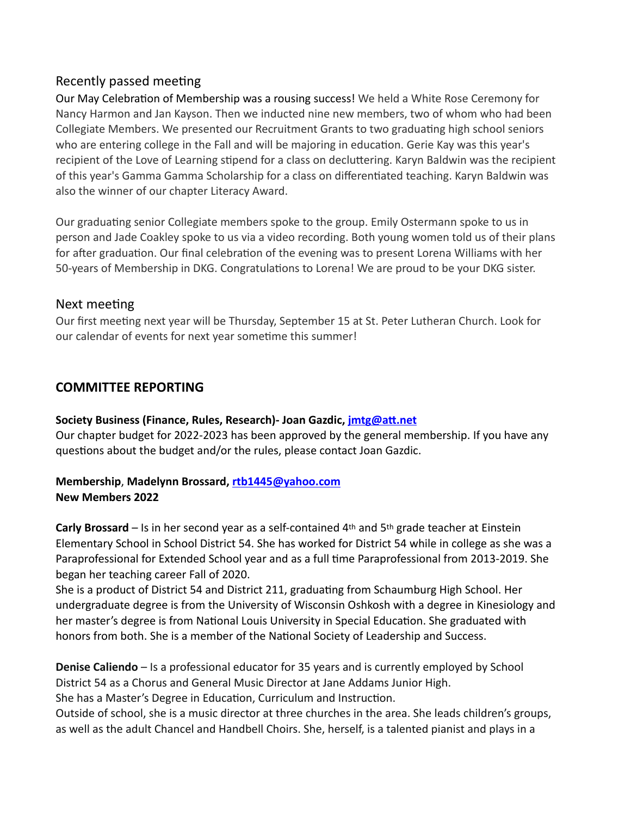# Recently passed meeting

Our May Celebration of Membership was a rousing success! We held a White Rose Ceremony for Nancy Harmon and Jan Kayson. Then we inducted nine new members, two of whom who had been Collegiate Members. We presented our Recruitment Grants to two graduating high school seniors who are entering college in the Fall and will be majoring in education. Gerie Kay was this year's recipient of the Love of Learning stipend for a class on decluttering. Karyn Baldwin was the recipient of this year's Gamma Gamma Scholarship for a class on differentiated teaching. Karyn Baldwin was also the winner of our chapter Literacy Award.

Our graduating senior Collegiate members spoke to the group. Emily Ostermann spoke to us in person and Jade Coakley spoke to us via a video recording. Both young women told us of their plans for after graduation. Our final celebration of the evening was to present Lorena Williams with her 50-years of Membership in DKG. Congratulations to Lorena! We are proud to be your DKG sister.

## Next meeting

Our first meeting next year will be Thursday, September 15 at St. Peter Lutheran Church. Look for our calendar of events for next year sometime this summer!

# **COMMITTEE REPORTING**

### **Society Business (Finance, Rules, Research)- Joan Gazdic,** *imtg@att.net*

Our chapter budget for 2022-2023 has been approved by the general membership. If you have any questions about the budget and/or the rules, please contact Joan Gazdic.

### **Membership**, **Madelynn Brossard, [rtb1445@yahoo.com](mailto:rtb1445@yahoo.com)  New Members 2022**

**Carly Brossard** – Is in her second year as a self-contained 4th and 5th grade teacher at Einstein Elementary School in School District 54. She has worked for District 54 while in college as she was a Paraprofessional for Extended School year and as a full time Paraprofessional from 2013-2019. She began her teaching career Fall of 2020.

She is a product of District 54 and District 211, graduating from Schaumburg High School. Her undergraduate degree is from the University of Wisconsin Oshkosh with a degree in Kinesiology and her master's degree is from National Louis University in Special Education. She graduated with honors from both. She is a member of the National Society of Leadership and Success.

**Denise Caliendo** – Is a professional educator for 35 years and is currently employed by School District 54 as a Chorus and General Music Director at Jane Addams Junior High.

She has a Master's Degree in Education, Curriculum and Instruction.

Outside of school, she is a music director at three churches in the area. She leads children's groups, as well as the adult Chancel and Handbell Choirs. She, herself, is a talented pianist and plays in a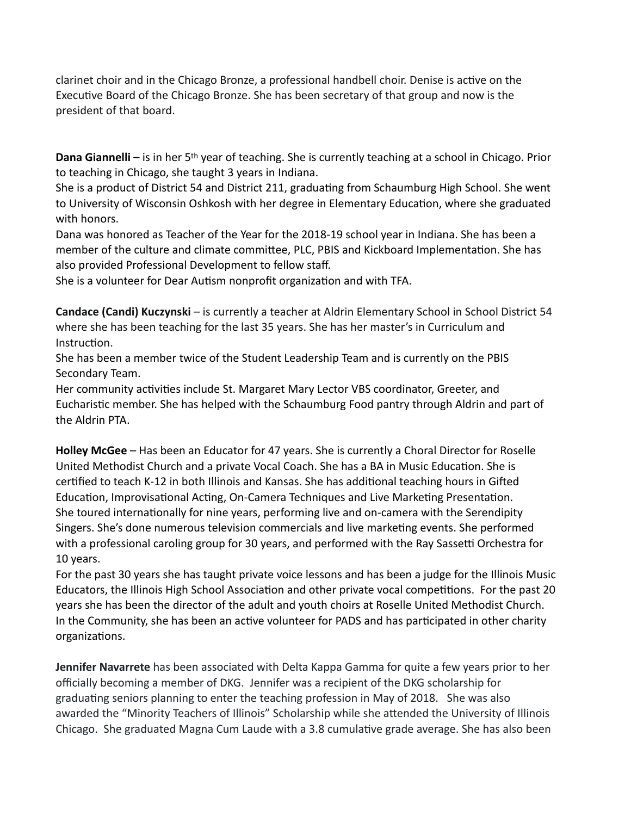clarinet choir and in the Chicago Bronze, a professional handbell choir. Denise is active on the Executive Board of the Chicago Bronze. She has been secretary of that group and now is the president of that board.

**Dana Giannelli** – is in her 5th year of teaching. She is currently teaching at a school in Chicago. Prior to teaching in Chicago, she taught 3 years in Indiana.

She is a product of District 54 and District 211, graduating from Schaumburg High School. She went to University of Wisconsin Oshkosh with her degree in Elementary Education, where she graduated with honors.

Dana was honored as Teacher of the Year for the 2018-19 school year in Indiana. She has been a member of the culture and climate committee, PLC, PBIS and Kickboard Implementation. She has also provided Professional Development to fellow staff.

She is a volunteer for Dear Autism nonprofit organization and with TFA.

**Candace (Candi) Kuczynski** – is currently a teacher at Aldrin Elementary School in School District 54 where she has been teaching for the last 35 years. She has her master's in Curriculum and Instruction.

She has been a member twice of the Student Leadership Team and is currently on the PBIS Secondary Team.

Her community activities include St. Margaret Mary Lector VBS coordinator, Greeter, and Eucharistic member. She has helped with the Schaumburg Food pantry through Aldrin and part of the Aldrin PTA.

**Holley McGee** – Has been an Educator for 47 years. She is currently a Choral Director for Roselle United Methodist Church and a private Vocal Coach. She has a BA in Music Education. She is certified to teach K-12 in both Illinois and Kansas. She has additional teaching hours in Gifted Education, Improvisational Acting, On-Camera Techniques and Live Marketing Presentation. She toured internationally for nine years, performing live and on-camera with the Serendipity Singers. She's done numerous television commercials and live marketing events. She performed with a professional caroling group for 30 years, and performed with the Ray Sassetti Orchestra for 10 years.

For the past 30 years she has taught private voice lessons and has been a judge for the Illinois Music Educators, the Illinois High School Association and other private vocal competitions. For the past 20 years she has been the director of the adult and youth choirs at Roselle United Methodist Church. In the Community, she has been an active volunteer for PADS and has participated in other charity organizations.

**Jennifer Navarrete** has been associated with Delta Kappa Gamma for quite a few years prior to her officially becoming a member of DKG. Jennifer was a recipient of the DKG scholarship for graduating seniors planning to enter the teaching profession in May of 2018. She was also awarded the "Minority Teachers of Illinois" Scholarship while she attended the University of Illinois Chicago. She graduated Magna Cum Laude with a 3.8 cumulative grade average. She has also been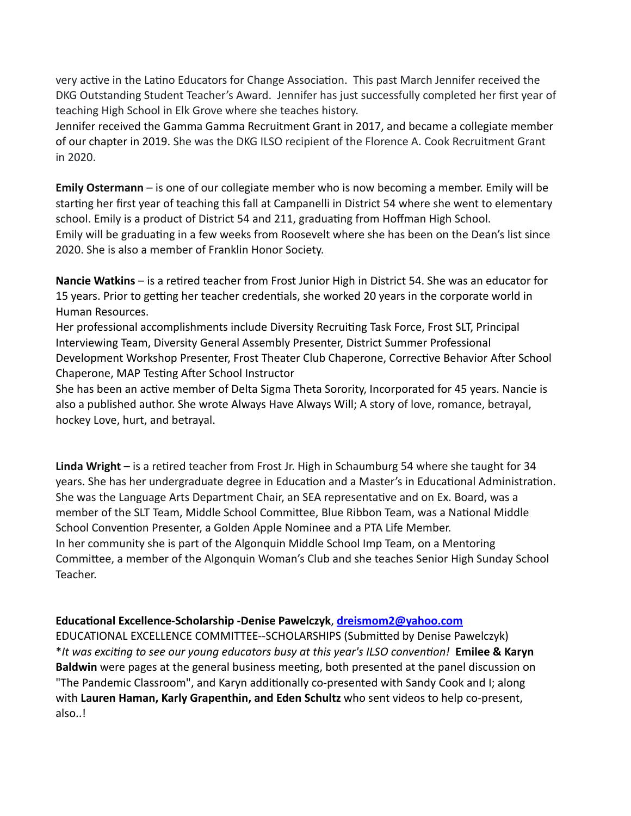very active in the Latino Educators for Change Association. This past March Jennifer received the DKG Outstanding Student Teacher's Award. Jennifer has just successfully completed her first year of teaching High School in Elk Grove where she teaches history.

Jennifer received the Gamma Gamma Recruitment Grant in 2017, and became a collegiate member of our chapter in 2019. She was the DKG ILSO recipient of the Florence A. Cook Recruitment Grant in 2020.

**Emily Ostermann** – is one of our collegiate member who is now becoming a member. Emily will be starting her first year of teaching this fall at Campanelli in District 54 where she went to elementary school. Emily is a product of District 54 and 211, graduating from Hoffman High School. Emily will be graduating in a few weeks from Roosevelt where she has been on the Dean's list since 2020. She is also a member of Franklin Honor Society.

**Nancie Watkins** – is a retired teacher from Frost Junior High in District 54. She was an educator for 15 years. Prior to getting her teacher credentials, she worked 20 years in the corporate world in Human Resources.

Her professional accomplishments include Diversity Recruiting Task Force, Frost SLT, Principal Interviewing Team, Diversity General Assembly Presenter, District Summer Professional Development Workshop Presenter, Frost Theater Club Chaperone, Corrective Behavior After School Chaperone, MAP Testing After School Instructor

She has been an active member of Delta Sigma Theta Sorority, Incorporated for 45 years. Nancie is also a published author. She wrote Always Have Always Will; A story of love, romance, betrayal, hockey Love, hurt, and betrayal.

Linda Wright – is a retired teacher from Frost Jr. High in Schaumburg 54 where she taught for 34 years. She has her undergraduate degree in Education and a Master's in Educational Administration. She was the Language Arts Department Chair, an SEA representative and on Ex. Board, was a member of the SLT Team, Middle School Committee, Blue Ribbon Team, was a National Middle School Convention Presenter, a Golden Apple Nominee and a PTA Life Member. In her community she is part of the Algonquin Middle School Imp Team, on a Mentoring Committee, a member of the Algonquin Woman's Club and she teaches Senior High Sunday School Teacher.

### **Educa\onal Excellence-Scholarship -Denise Pawelczyk**, **[dreismom2@yahoo.com](mailto:dreismom2@yahoo.com)**

EDUCATIONAL EXCELLENCE COMMITTEE--SCHOLARSHIPS (Submitted by Denise Pawelczyk) \*It was exciting to see our young educators busy at this year's ILSO convention! **Emilee & Karyn Baldwin** were pages at the general business meeting, both presented at the panel discussion on "The Pandemic Classroom", and Karyn additionally co-presented with Sandy Cook and I; along with **Lauren Haman, Karly Grapenthin, and Eden Schultz** who sent videos to help co-present, also..!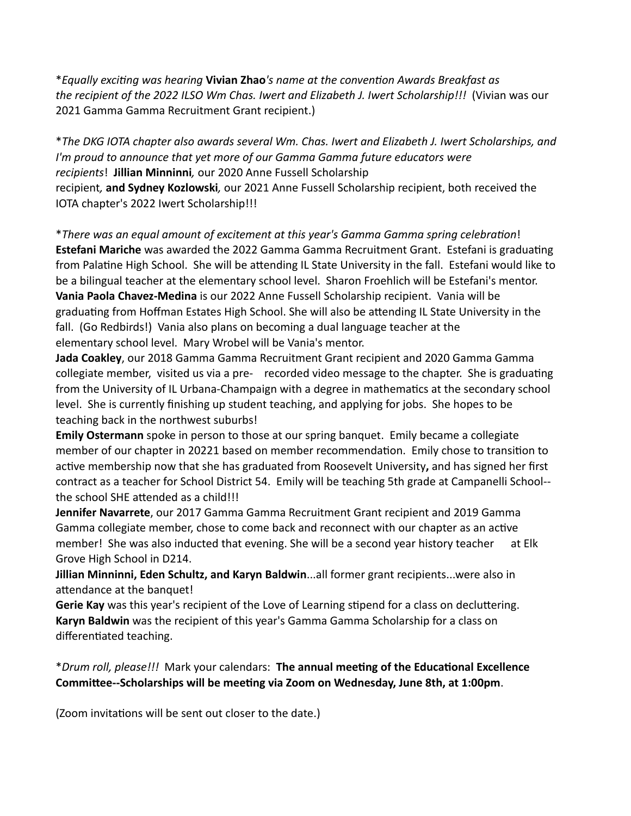\**Equally exci+ng was hearing* **Vivian Zhao***'s name at the conven+on Awards Breakfast as the recipient of the 2022 ILSO Wm Chas. Iwert and Elizabeth J. Iwert Scholarship!!!* (Vivian was our 2021 Gamma Gamma Recruitment Grant recipient.)

\**The DKG IOTA chapter also awards several Wm. Chas. Iwert and Elizabeth J. Iwert Scholarships, and I'm proud to announce that yet more of our Gamma Gamma future educators were recipients*! **Jillian Minninni***,* our 2020 Anne Fussell Scholarship recipient*,* **and Sydney Kozlowski***,* our 2021 Anne Fussell Scholarship recipient, both received the IOTA chapter's 2022 Iwert Scholarship!!!

\**There was an equal amount of excitement at this year's Gamma Gamma spring celebration!* **Estefani Mariche** was awarded the 2022 Gamma Gamma Recruitment Grant. Estefani is graduating from Palatine High School. She will be attending IL State University in the fall. Estefani would like to be a bilingual teacher at the elementary school level. Sharon Froehlich will be Estefani's mentor. **Vania Paola Chavez-Medina** is our 2022 Anne Fussell Scholarship recipient. Vania will be graduating from Hoffman Estates High School. She will also be attending IL State University in the fall. (Go Redbirds!) Vania also plans on becoming a dual language teacher at the elementary school level. Mary Wrobel will be Vania's mentor.

**Jada Coakley**, our 2018 Gamma Gamma Recruitment Grant recipient and 2020 Gamma Gamma collegiate member, visited us via a pre- recorded video message to the chapter. She is graduating from the University of IL Urbana-Champaign with a degree in mathematics at the secondary school level. She is currently finishing up student teaching, and applying for jobs. She hopes to be teaching back in the northwest suburbs!

**Emily Ostermann** spoke in person to those at our spring banquet. Emily became a collegiate member of our chapter in 20221 based on member recommendation. Emily chose to transition to active membership now that she has graduated from Roosevelt University, and has signed her first contract as a teacher for School District 54. Emily will be teaching 5th grade at Campanelli School- the school SHE attended as a child!!!

**Jennifer Navarrete**, our 2017 Gamma Gamma Recruitment Grant recipient and 2019 Gamma Gamma collegiate member, chose to come back and reconnect with our chapter as an active member! She was also inducted that evening. She will be a second year history teacher at Elk Grove High School in D214.

**Jillian Minninni, Eden Schultz, and Karyn Baldwin**...all former grant recipients...were also in attendance at the banquet!

**Gerie Kay** was this year's recipient of the Love of Learning stipend for a class on decluttering. **Karyn Baldwin** was the recipient of this year's Gamma Gamma Scholarship for a class on differentiated teaching.

\**Drum roll, please!!!* Mark your calendars: **The annual mee\ng of the Educa\onal Excellence**  Committee--Scholarships will be meeting via Zoom on Wednesday, June 8th, at 1:00pm.

(Zoom invitations will be sent out closer to the date.)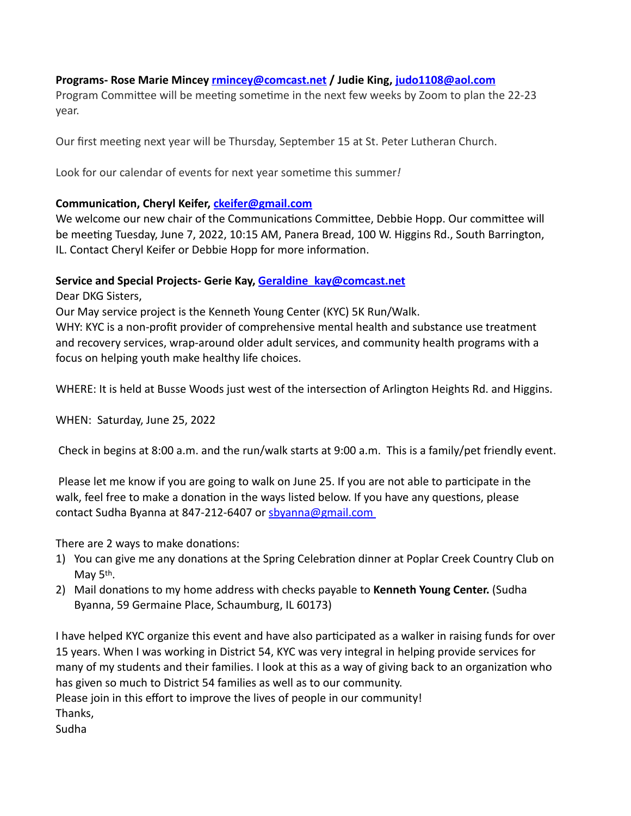#### **Programs- Rose Marie Mincey [rmincey@comcast.net](mailto:rmincey@comcast.net) / Judie King, [judo1108@aol.com](mailto:judo1108@aol.com)**

Program Committee will be meeting sometime in the next few weeks by Zoom to plan the 22-23 year.

Our first meeting next year will be Thursday, September 15 at St. Peter Lutheran Church.

Look for our calendar of events for next year sometime this summer!

#### **Communication, Cheryl Keifer,** *ckeifer@gmail.com*

We welcome our new chair of the Communications Committee, Debbie Hopp. Our committee will be meeting Tuesday, June 7, 2022, 10:15 AM, Panera Bread, 100 W. Higgins Rd., South Barrington, IL. Contact Cheryl Keifer or Debbie Hopp for more information.

#### **Service and Special Projects- Gerie Kay, [Geraldine\\_kay@comcast.net](mailto:Geraldine_kay@comcast.net)**

Dear DKG Sisters,

Our May service project is the Kenneth Young Center (KYC) 5K Run/Walk.

WHY: KYC is a non-profit provider of comprehensive mental health and substance use treatment and recovery services, wrap-around older adult services, and community health programs with a focus on helping youth make healthy life choices.

WHERE: It is held at Busse Woods just west of the intersection of Arlington Heights Rd. and Higgins.

WHEN: Saturday, June 25, 2022

Check in begins at 8:00 a.m. and the run/walk starts at 9:00 a.m. This is a family/pet friendly event.

Please let me know if you are going to walk on June 25. If you are not able to participate in the walk, feel free to make a donation in the ways listed below. If you have any questions, please contact Sudha Byanna at 847-212-6407 or [sbyanna@gmail.com](mailto:sbyanna@gmail.com)

There are 2 ways to make donations:

- 1) You can give me any donations at the Spring Celebration dinner at Poplar Creek Country Club on May 5<sup>th</sup>.
- 2) Mail donations to my home address with checks payable to **Kenneth Young Center.** (Sudha Byanna, 59 Germaine Place, Schaumburg, IL 60173)

I have helped KYC organize this event and have also participated as a walker in raising funds for over 15 years. When I was working in District 54, KYC was very integral in helping provide services for many of my students and their families. I look at this as a way of giving back to an organization who has given so much to District 54 families as well as to our community.

Please join in this effort to improve the lives of people in our community! Thanks, Sudha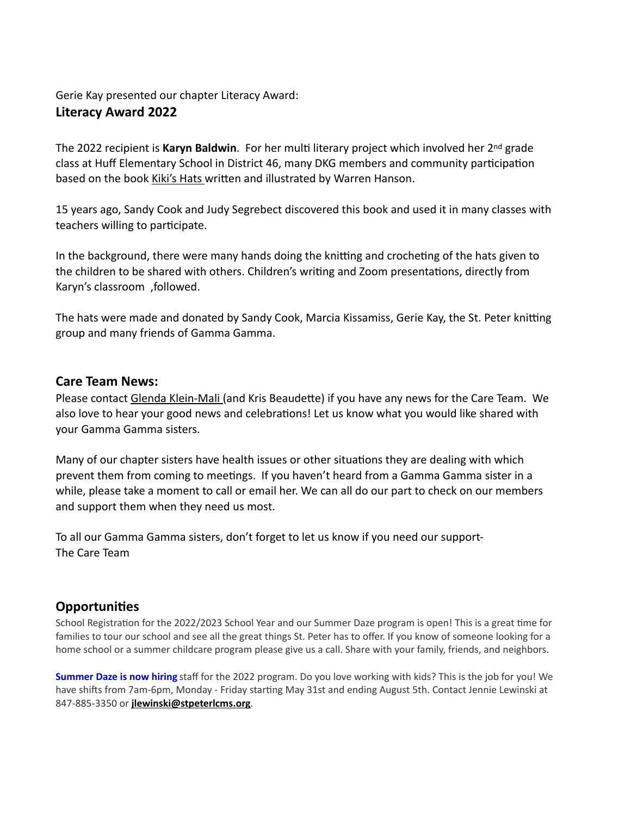#### Gerie Kay presented our chapter Literacy Award:

## **Literacy Award 2022**

The 2022 recipient is Karyn Baldwin. For her multi literary project which involved her 2<sup>nd</sup> grade class at Huff Elementary School in District 46, many DKG members and community participation based on the book Kiki's Hats written and illustrated by Warren Hanson.

15 years ago, Sandy Cook and Judy Segrebect discovered this book and used it in many classes with teachers willing to participate.

In the background, there were many hands doing the knitting and crocheting of the hats given to the children to be shared with others. Children's writing and Zoom presentations, directly from Karyn's classroom ,followed.

The hats were made and donated by Sandy Cook, Marcia Kissamiss, Gerie Kay, the St. Peter knitting group and many friends of Gamma Gamma.

### **Care Team News:**

Please contact Glenda Klein-Mali (and Kris Beaudette) if you have any news for the Care Team. We also love to hear your good news and celebrations! Let us know what you would like shared with your Gamma Gamma sisters.

Many of our chapter sisters have health issues or other situations they are dealing with which prevent them from coming to meetings. If you haven't heard from a Gamma Gamma sister in a while, please take a moment to call or email her. We can all do our part to check on our members and support them when they need us most.

To all our Gamma Gamma sisters, don't forget to let us know if you need our support-The Care Team

## **Opportuni\es**

School Registration for the 2022/2023 School Year and our Summer Daze program is open! This is a great time for families to tour our school and see all the great things St. Peter has to offer. If you know of someone looking for a home school or a summer childcare program please give us a call. Share with your family, friends, and neighbors.

**Summer Daze is now hiring** staff for the 2022 program. Do you love working with kids? This is the job for you! We have shifts from 7am-6pm, Monday - Friday starting May 31st and ending August 5th. Contact Jennie Lewinski at 847-885-3350 or **[jlewinski@stpeterlcms.org](mailto:jlewinski@stpeterlcms.org)**.